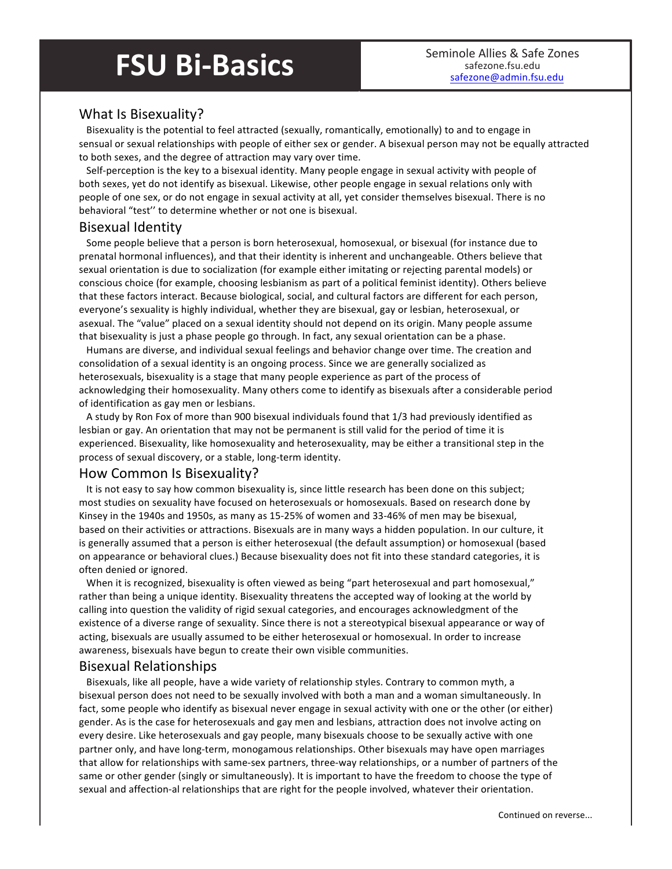# **FSU Bi-Basics** Seminole Allies & Safe Zones

# What Is Bisexuality?

Bisexuality is the potential to feel attracted (sexually, romantically, emotionally) to and to engage in sensual or sexual relationships with people of either sex or gender. A bisexual person may not be equally attracted to both sexes, and the degree of attraction may vary over time.

Self-perception is the key to a bisexual identity. Many people engage in sexual activity with people of both sexes, yet do not identify as bisexual. Likewise, other people engage in sexual relations only with people of one sex, or do not engage in sexual activity at all, yet consider themselves bisexual. There is no behavioral "test" to determine whether or not one is bisexual.

### Bisexual Identity

Some people believe that a person is born heterosexual, homosexual, or bisexual (for instance due to prenatal hormonal influences), and that their identity is inherent and unchangeable. Others believe that sexual orientation is due to socialization (for example either imitating or rejecting parental models) or conscious choice (for example, choosing lesbianism as part of a political feminist identity). Others believe that these factors interact. Because biological, social, and cultural factors are different for each person, everyone's sexuality is highly individual, whether they are bisexual, gay or lesbian, heterosexual, or asexual. The "value" placed on a sexual identity should not depend on its origin. Many people assume that bisexuality is just a phase people go through. In fact, any sexual orientation can be a phase.

Humans are diverse, and individual sexual feelings and behavior change over time. The creation and consolidation of a sexual identity is an ongoing process. Since we are generally socialized as heterosexuals, bisexuality is a stage that many people experience as part of the process of acknowledging their homosexuality. Many others come to identify as bisexuals after a considerable period of identification as gay men or lesbians.

A study by Ron Fox of more than 900 bisexual individuals found that 1/3 had previously identified as lesbian or gay. An orientation that may not be permanent is still valid for the period of time it is experienced. Bisexuality, like homosexuality and heterosexuality, may be either a transitional step in the process of sexual discovery, or a stable, long-term identity.

#### How Common Is Bisexuality?

It is not easy to say how common bisexuality is, since little research has been done on this subject; most studies on sexuality have focused on heterosexuals or homosexuals. Based on research done by Kinsey in the 1940s and 1950s, as many as 15-25% of women and 33-46% of men may be bisexual, based on their activities or attractions. Bisexuals are in many ways a hidden population. In our culture, it is generally assumed that a person is either heterosexual (the default assumption) or homosexual (based on appearance or behavioral clues.) Because bisexuality does not fit into these standard categories, it is often denied or ignored.

When it is recognized, bisexuality is often viewed as being "part heterosexual and part homosexual," rather than being a unique identity. Bisexuality threatens the accepted way of looking at the world by calling into question the validity of rigid sexual categories, and encourages acknowledgment of the existence of a diverse range of sexuality. Since there is not a stereotypical bisexual appearance or way of acting, bisexuals are usually assumed to be either heterosexual or homosexual. In order to increase awareness, bisexuals have begun to create their own visible communities.

#### Bisexual Relationships

Bisexuals, like all people, have a wide variety of relationship styles. Contrary to common myth, a bisexual person does not need to be sexually involved with both a man and a woman simultaneously. In fact, some people who identify as bisexual never engage in sexual activity with one or the other (or either) gender. As is the case for heterosexuals and gay men and lesbians, attraction does not involve acting on every desire. Like heterosexuals and gay people, many bisexuals choose to be sexually active with one partner only, and have long-term, monogamous relationships. Other bisexuals may have open marriages that allow for relationships with same-sex partners, three-way relationships, or a number of partners of the same or other gender (singly or simultaneously). It is important to have the freedom to choose the type of sexual and affection-al relationships that are right for the people involved, whatever their orientation.